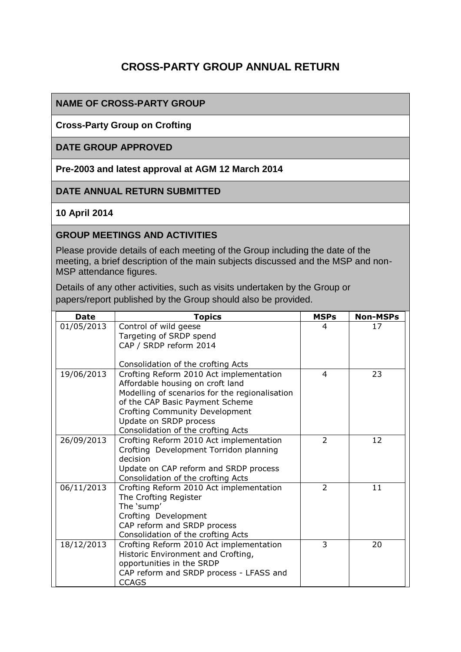# **CROSS-PARTY GROUP ANNUAL RETURN**

#### **NAME OF CROSS-PARTY GROUP**

#### **Cross-Party Group on Crofting**

#### **DATE GROUP APPROVED**

#### **Pre-2003 and latest approval at AGM 12 March 2014**

#### **DATE ANNUAL RETURN SUBMITTED**

#### **10 April 2014**

#### **GROUP MEETINGS AND ACTIVITIES**

Please provide details of each meeting of the Group including the date of the meeting, a brief description of the main subjects discussed and the MSP and non-MSP attendance figures.

Details of any other activities, such as visits undertaken by the Group or papers/report published by the Group should also be provided.

| <b>Date</b> | <b>Topics</b>                                            | <b>MSPs</b>    | <b>Non-MSPs</b> |
|-------------|----------------------------------------------------------|----------------|-----------------|
| 01/05/2013  | Control of wild geese                                    | 4              | 17              |
|             | Targeting of SRDP spend                                  |                |                 |
|             | CAP / SRDP reform 2014                                   |                |                 |
|             | Consolidation of the crofting Acts                       |                |                 |
| 19/06/2013  | Crofting Reform 2010 Act implementation                  | 4              | 23              |
|             | Affordable housing on croft land                         |                |                 |
|             | Modelling of scenarios for the regionalisation           |                |                 |
|             | of the CAP Basic Payment Scheme                          |                |                 |
|             | Crofting Community Development<br>Update on SRDP process |                |                 |
|             | Consolidation of the crofting Acts                       |                |                 |
| 26/09/2013  | Crofting Reform 2010 Act implementation                  | $\overline{2}$ | 12              |
|             | Crofting Development Torridon planning                   |                |                 |
|             | decision                                                 |                |                 |
|             | Update on CAP reform and SRDP process                    |                |                 |
|             | Consolidation of the crofting Acts                       |                |                 |
| 06/11/2013  | Crofting Reform 2010 Act implementation                  | $\overline{2}$ | 11              |
|             | The Crofting Register<br>The 'sump'                      |                |                 |
|             | Crofting Development                                     |                |                 |
|             | CAP reform and SRDP process                              |                |                 |
|             | Consolidation of the crofting Acts                       |                |                 |
| 18/12/2013  | Crofting Reform 2010 Act implementation                  | 3              | 20              |
|             | Historic Environment and Crofting,                       |                |                 |
|             | opportunities in the SRDP                                |                |                 |
|             | CAP reform and SRDP process - LFASS and<br><b>CCAGS</b>  |                |                 |
|             |                                                          |                |                 |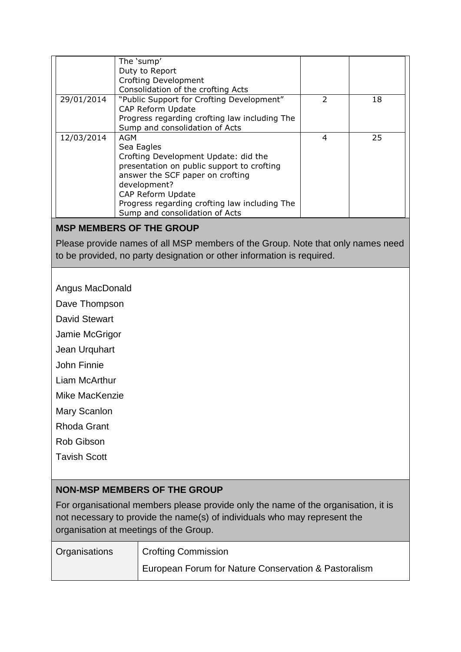|            | The 'sump'                                    |   |    |
|------------|-----------------------------------------------|---|----|
|            | Duty to Report                                |   |    |
|            | <b>Crofting Development</b>                   |   |    |
|            | Consolidation of the crofting Acts            |   |    |
| 29/01/2014 | "Public Support for Crofting Development"     |   | 18 |
|            | CAP Reform Update                             |   |    |
|            | Progress regarding crofting law including The |   |    |
|            | Sump and consolidation of Acts                |   |    |
| 12/03/2014 | AGM                                           | 4 | 25 |
|            | Sea Eagles                                    |   |    |
|            | Crofting Development Update: did the          |   |    |
|            | presentation on public support to crofting    |   |    |
|            | answer the SCF paper on crofting              |   |    |
|            | development?                                  |   |    |
|            | CAP Reform Update                             |   |    |
|            | Progress regarding crofting law including The |   |    |
|            | Sump and consolidation of Acts                |   |    |

### **MSP MEMBERS OF THE GROUP**

Please provide names of all MSP members of the Group. Note that only names need to be provided, no party designation or other information is required.

Angus MacDonald

Dave Thompson

David Stewart

Jamie McGrigor

Jean Urquhart

John Finnie

Liam McArthur

Mike MacKenzie

Mary Scanlon

Rhoda Grant

Rob Gibson

Tavish Scott

### **NON-MSP MEMBERS OF THE GROUP**

For organisational members please provide only the name of the organisation, it is not necessary to provide the name(s) of individuals who may represent the organisation at meetings of the Group.

| Organisations | <b>Crofting Commission</b>                           |
|---------------|------------------------------------------------------|
|               | European Forum for Nature Conservation & Pastoralism |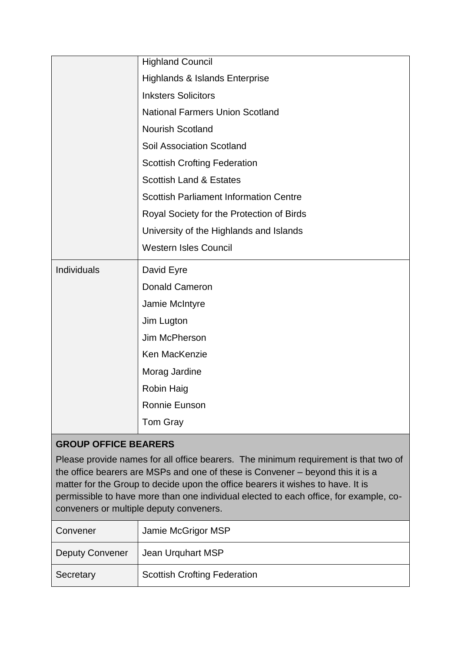|             | <b>Highland Council</b>                       |
|-------------|-----------------------------------------------|
|             | <b>Highlands &amp; Islands Enterprise</b>     |
|             | <b>Inksters Solicitors</b>                    |
|             | <b>National Farmers Union Scotland</b>        |
|             | <b>Nourish Scotland</b>                       |
|             | Soil Association Scotland                     |
|             | <b>Scottish Crofting Federation</b>           |
|             | <b>Scottish Land &amp; Estates</b>            |
|             | <b>Scottish Parliament Information Centre</b> |
|             | Royal Society for the Protection of Birds     |
|             | University of the Highlands and Islands       |
|             | <b>Western Isles Council</b>                  |
| Individuals | David Eyre                                    |
|             | <b>Donald Cameron</b>                         |
|             | Jamie McIntyre                                |
|             | Jim Lugton                                    |
|             | Jim McPherson                                 |
|             | Ken MacKenzie                                 |
|             | Morag Jardine                                 |
|             | Robin Haig                                    |
|             | Ronnie Eunson                                 |
|             | <b>Tom Gray</b>                               |

# **GROUP OFFICE BEARERS**

Please provide names for all office bearers. The minimum requirement is that two of the office bearers are MSPs and one of these is Convener – beyond this it is a matter for the Group to decide upon the office bearers it wishes to have. It is permissible to have more than one individual elected to each office, for example, coconveners or multiple deputy conveners.

| Convener               | Jamie McGrigor MSP                  |
|------------------------|-------------------------------------|
| <b>Deputy Convener</b> | Jean Urquhart MSP                   |
| Secretary              | <b>Scottish Crofting Federation</b> |